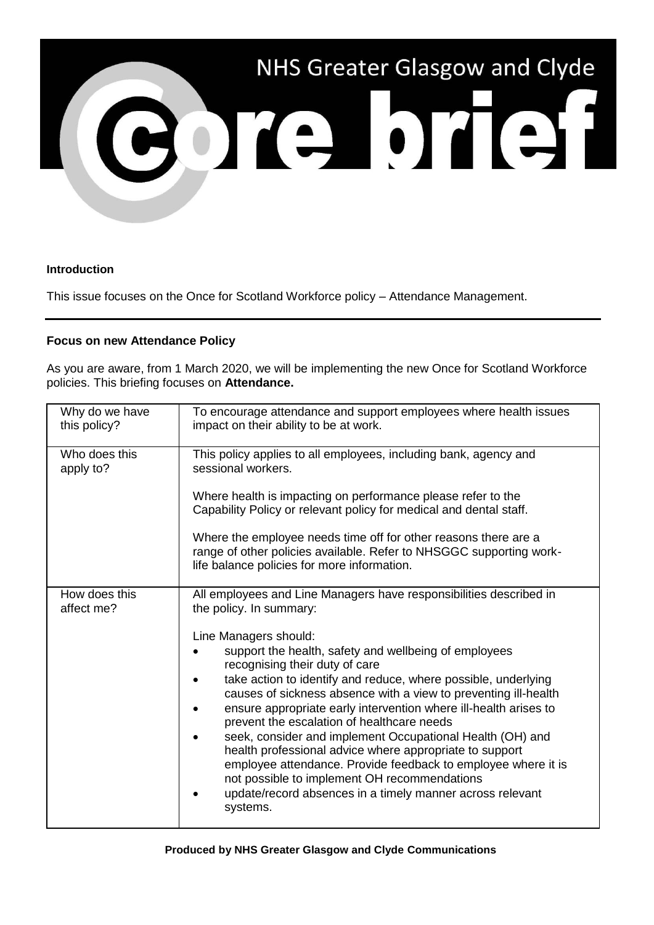

## **Introduction**

This issue focuses on the Once for Scotland Workforce policy – Attendance Management.

## **Focus on new Attendance Policy**

As you are aware, from 1 March 2020, we will be implementing the new Once for Scotland Workforce policies. This briefing focuses on **Attendance.**

| Why do we have<br>this policy? | To encourage attendance and support employees where health issues<br>impact on their ability to be at work.                                                                                                                                                                                                                                                                                                                                                                                                                                                                                                                                                                                                                                                                                |
|--------------------------------|--------------------------------------------------------------------------------------------------------------------------------------------------------------------------------------------------------------------------------------------------------------------------------------------------------------------------------------------------------------------------------------------------------------------------------------------------------------------------------------------------------------------------------------------------------------------------------------------------------------------------------------------------------------------------------------------------------------------------------------------------------------------------------------------|
| Who does this<br>apply to?     | This policy applies to all employees, including bank, agency and<br>sessional workers.<br>Where health is impacting on performance please refer to the<br>Capability Policy or relevant policy for medical and dental staff.<br>Where the employee needs time off for other reasons there are a<br>range of other policies available. Refer to NHSGGC supporting work-<br>life balance policies for more information.                                                                                                                                                                                                                                                                                                                                                                      |
| How does this<br>affect me?    | All employees and Line Managers have responsibilities described in<br>the policy. In summary:<br>Line Managers should:<br>support the health, safety and wellbeing of employees<br>recognising their duty of care<br>take action to identify and reduce, where possible, underlying<br>causes of sickness absence with a view to preventing ill-health<br>ensure appropriate early intervention where ill-health arises to<br>prevent the escalation of healthcare needs<br>seek, consider and implement Occupational Health (OH) and<br>health professional advice where appropriate to support<br>employee attendance. Provide feedback to employee where it is<br>not possible to implement OH recommendations<br>update/record absences in a timely manner across relevant<br>systems. |